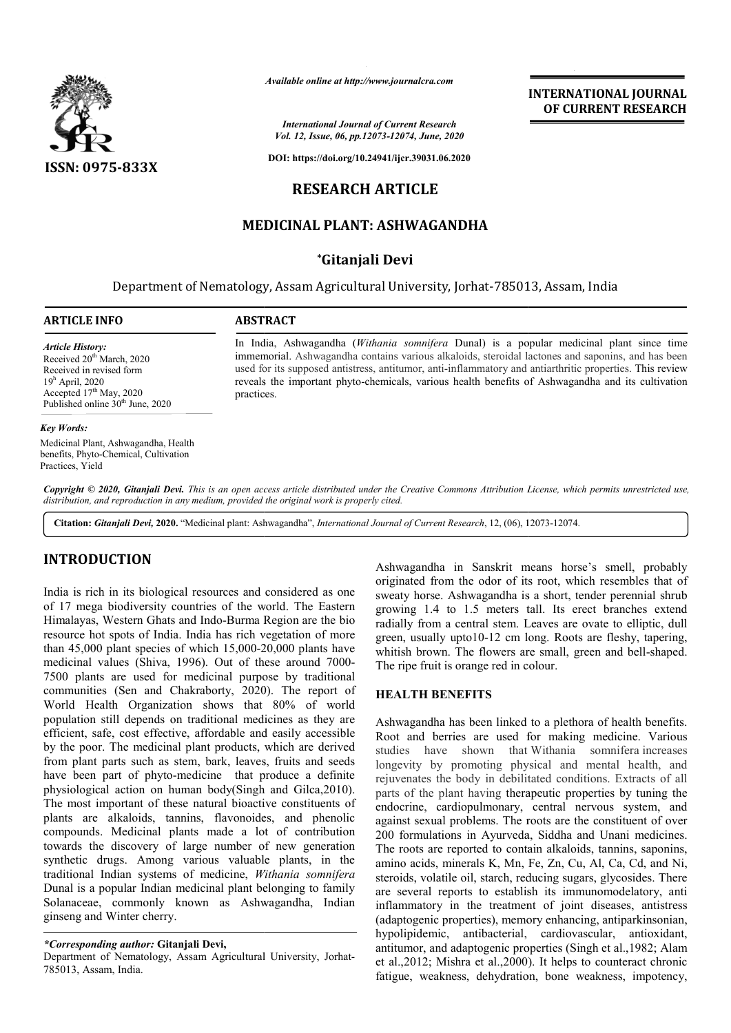

*Available online at http://www.journalcra.com*

*International Journal of Current Research Vol. 12, Issue, 06, pp.12073-12074, June, 2020*

**DOI: https://doi.org/10.24941/ijcr.39031.06.2020**

# **RESEARCH ARTICLE**

# **MEDICINAL PLANT: ASHWAGANDHA**

# **\*Gitanjali Devi**

Department of Nematology, Assam Agricultural University, Jorhat-785013, Assam, India

#### **ARTICLE INFO ABSTRACT**

practices.

*Article History:* Received 20<sup>th</sup> March, 2020 Received in revised form 19h April, 2020 Accepted  $17<sup>th</sup>$  May, 2020 Published online  $30<sup>th</sup>$  June, 2020

#### *Key Words:*

Medicinal Plant, Ashwagandha, Health benefits, Phyto-Chemical, Cultivation Practices, Yield

In India, Ashwagandha ( *Withania somnifera* Dunal) is a popular medicinal plant since time immemorial. Ashwagandha contains various alkaloids, steroidal lactones and saponins, and has been

hwagandha (*Withania somnifera* Dunal) is a popular medicinal plant since time<br>Ashwagandha contains various alkaloids, steroidal lactones and saponins, and has been<br>apposed antistress, antitumor, anti-inflammatory and anti

**INTERNATIONAL JOURNAL OF CURRENT RESEARCH**

reveals the important phyto-chemicals, various health benefits of Ashwagandha and its cultivation

used for its supposed antistress, antitumor, anti-inflammatory and antiarthritic properties.

Copyright © 2020, Gitanjali Devi. This is an open access article distributed under the Creative Commons Attribution License, which permits unrestricted use, *distribution, and reproduction in any medium, provided the original work is properly cited.*

Citation: Gitanjali Devi, 2020. "Medicinal plant: Ashwagandha", *International Journal of Current Research*, 12, (06), 12073-12074.

# **INTRODUCTION**

India is rich in its biological resources and considered as one of 17 mega biodiversity countries of the world. The Eastern Himalayas, Western Ghats and Indo-Burma Region are the bio resource hot spots of India. India has rich vegetation of more than 45,000 plant species of which 15,000-20,000 plants have medicinal values (Shiva, 1996). Out of these around 7000 7500 plants are used for medicinal purpose by traditional communities (Sen and Chakraborty, 2020). The report of World Health Organization shows that 80% of world population still depends on traditional medicines as they are efficient, safe, cost effective, affordable and easily accessible by the poor. The medicinal plant products, which are derived from plant parts such as stem, bark, leaves, fruits and seeds have been part of phyto-medicine that produce a definite physiological action on human body(Singh and Gil The most important of these natural bioactive constituents of plants are alkaloids, tannins, flavonoides, and phenolic compounds. Medicinal plants made a lot of contribution towards the discovery of large number of new generation synthetic drugs. Among various valuable plants, in the traditional Indian systems of medicine, *Withania somnifera* Dunal is a popular Indian medicinal plant belonging to family Solanaceae, commonly known as Ashwagandha, Indian ginseng and Winter cherry. Burma Region are the bio<br>s rich vegetation of more<br>15,000-20,000 plants have<br>ut of these around 7000nts are used for medicinal purpose by traditional<br>ties (Sen and Chakraborty, 2020). The report of<br>lealth Organization shows that 80% of world<br>n still depends on traditional medicines as they are<br>safe, cost effective, affor

## *\*Corresponding author:* **Gitanjali Devi,**

Department of Nematology, Assam Agricultural University, Jorhat-785013, Assam, India.

Ashwagandha in Sanskrit means horse's smell, probably originated from the odor of its root, which resembles that of sweaty horse. Ashwagandha is a short, tender perennial shrub growing 1.4 to 1.5 meters tall. Its erect branches extend radially from a central stem. Leaves are ovate to elliptic, dull green, usually upto10-12 cm long. Roots are fleshy, tapering, whitish brown. The flowers are small, green and bell-shaped. The ripe fruit is orange red in colour. Iha in Sanskrit means horse's smell, probably<br>from the odor of its root, which resembles that of<br>se. Ashwagandha is a short, tender perennial shrub meters tall. Its erect branches extend<br>al stem. Leaves are ovate to elliptic, dull<br>0-12 cm long. Roots are fleshy, tapering,<br>flowers are small, green and bell-shaped.

## **HEALTH BENEFITS**

Ashwagandha has been linked to a plethora of health benefits. Root and berries are used for making medicine. Various studies have shown that Withania somnifera increases longevity by promoting physical and mental health, and rejuvenates the body in debilitated conditions. Extracts of all parts of the plant having therapeutic properties by tuning the endocrine, cardiopulmonary, central nervous system, and against sexual problems. The roots are the constituent of over 200 formulations in Ayurveda, Siddha and Unani medicines. The roots are reported to contain alkaloids, tannins, saponins, amino acids, minerals K, Mn, Fe, Zn, Cu, Al, Ca, Cd, and Ni, steroids, volatile oil, starch, reducing sugars, glycosides. There are several reports to establish its immunomodelatory, anti inflammatory in the treatment of joint diseases, antistress (adaptogenic properties), memory enhancing, antiparkinsonian, hypolipidemic, antibacterial, cardiovascular, antioxidant, antitumor, and adaptogenic properties (Singh et al.,1982; Alam et al.,2012; Mishra et al.,2000). It helps to counteract chronic fatigue, weakness, dehydration, bone weakness, impotency, has been linked to a plethora of health benefits.<br>
ries are used for making medicine. Various<br>
shown that Withania somnifera increases longevity by promoting physical and mental health, and rejuvenates the body in debilitated conditions. Extracts of all parts of the plant having therapeutic properties by tuning the endocrine, cardiopulmonary, central nerv helps to